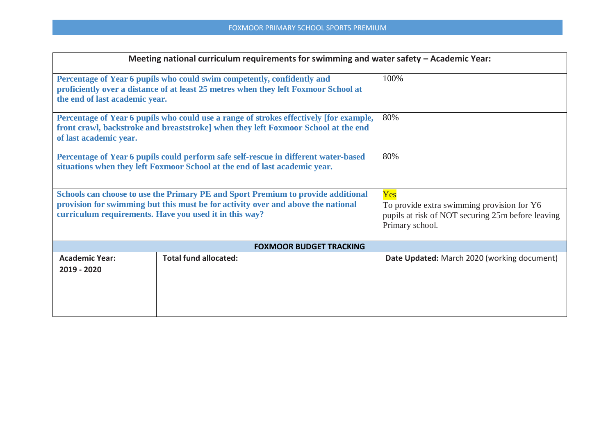|                                      | Meeting national curriculum requirements for swimming and water safety - Academic Year:                                                                                                                                        |                                                                                                                           |
|--------------------------------------|--------------------------------------------------------------------------------------------------------------------------------------------------------------------------------------------------------------------------------|---------------------------------------------------------------------------------------------------------------------------|
| the end of last academic year.       | Percentage of Year 6 pupils who could swim competently, confidently and<br>proficiently over a distance of at least 25 metres when they left Foxmoor School at                                                                 | 100%                                                                                                                      |
| of last academic year.               | Percentage of Year 6 pupils who could use a range of strokes effectively [for example,<br>front crawl, backstroke and breaststroke] when they left Foxmoor School at the end                                                   | 80%                                                                                                                       |
|                                      | Percentage of Year 6 pupils could perform safe self-rescue in different water-based<br>situations when they left Foxmoor School at the end of last academic year.                                                              | 80%                                                                                                                       |
|                                      | Schools can choose to use the Primary PE and Sport Premium to provide additional<br>provision for swimming but this must be for activity over and above the national<br>curriculum requirements. Have you used it in this way? | Yes<br>To provide extra swimming provision for Y6<br>pupils at risk of NOT securing 25m before leaving<br>Primary school. |
|                                      | <b>FOXMOOR BUDGET TRACKING</b>                                                                                                                                                                                                 |                                                                                                                           |
| <b>Academic Year:</b><br>2019 - 2020 | <b>Total fund allocated:</b>                                                                                                                                                                                                   | Date Updated: March 2020 (working document)                                                                               |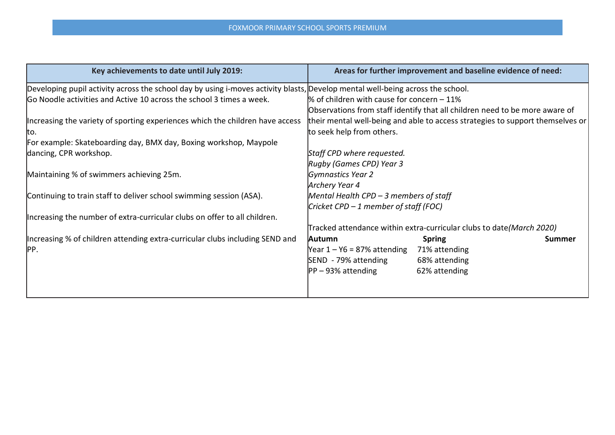## FOXMOOR PRIMARY SCHOOL SPORTS PREMIUM

| Key achievements to date until July 2019:                                                                                      | Areas for further improvement and baseline evidence of need:                   |
|--------------------------------------------------------------------------------------------------------------------------------|--------------------------------------------------------------------------------|
| Developing pupil activity across the school day by using i-moves activity blasts, Develop mental well-being across the school. |                                                                                |
| Go Noodle activities and Active 10 across the school 3 times a week.                                                           | % of children with cause for concern $-11%$                                    |
|                                                                                                                                | Observations from staff identify that all children need to be more aware of    |
| Increasing the variety of sporting experiences which the children have access                                                  | their mental well-being and able to access strategies to support themselves or |
| Ito.                                                                                                                           | to seek help from others.                                                      |
| For example: Skateboarding day, BMX day, Boxing workshop, Maypole                                                              |                                                                                |
| dancing, CPR workshop.                                                                                                         | Staff CPD where requested.                                                     |
|                                                                                                                                | Rugby (Games CPD) Year 3                                                       |
| Maintaining % of swimmers achieving 25m.                                                                                       | Gymnastics Year 2                                                              |
|                                                                                                                                | Archery Year 4                                                                 |
| Continuing to train staff to deliver school swimming session (ASA).                                                            | Mental Health CPD $-$ 3 members of staff                                       |
|                                                                                                                                | Cricket CPD – 1 member of staff (FOC)                                          |
| Increasing the number of extra-curricular clubs on offer to all children.                                                      |                                                                                |
|                                                                                                                                | Tracked attendance within extra-curricular clubs to date(March 2020)           |
| Increasing % of children attending extra-curricular clubs including SEND and                                                   | Autumn<br><b>Spring</b><br><b>Summer</b>                                       |
| PP.                                                                                                                            | Year $1 - Y6 = 87\%$ attending<br>71% attending                                |
|                                                                                                                                | SEND - 79% attending<br>68% attending                                          |
|                                                                                                                                | $PP - 93%$ attending<br>62% attending                                          |
|                                                                                                                                |                                                                                |
|                                                                                                                                |                                                                                |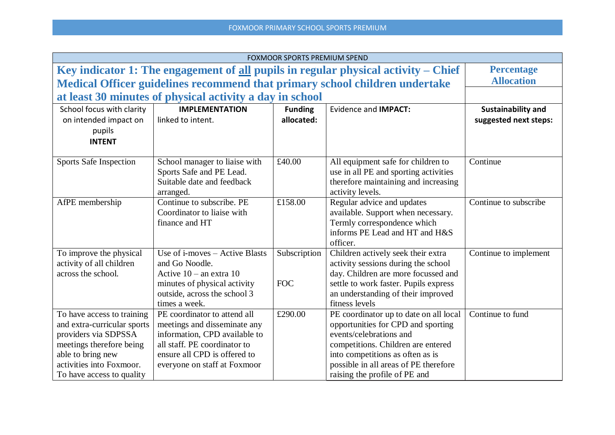|                                                                                                                                                                                             |                                                                                                                                                                                               | <b>FOXMOOR SPORTS PREMIUM SPEND</b> |                                                                                                                                                                                                                                                             |                                                    |
|---------------------------------------------------------------------------------------------------------------------------------------------------------------------------------------------|-----------------------------------------------------------------------------------------------------------------------------------------------------------------------------------------------|-------------------------------------|-------------------------------------------------------------------------------------------------------------------------------------------------------------------------------------------------------------------------------------------------------------|----------------------------------------------------|
| Key indicator 1: The engagement of <u>all</u> pupils in regular physical activity $-$ Chief                                                                                                 |                                                                                                                                                                                               |                                     |                                                                                                                                                                                                                                                             | <b>Percentage</b>                                  |
|                                                                                                                                                                                             |                                                                                                                                                                                               |                                     | Medical Officer guidelines recommend that primary school children undertake                                                                                                                                                                                 | <b>Allocation</b>                                  |
|                                                                                                                                                                                             | at least 30 minutes of physical activity a day in school                                                                                                                                      |                                     |                                                                                                                                                                                                                                                             |                                                    |
| School focus with clarity<br>on intended impact on<br>pupils<br><b>INTENT</b>                                                                                                               | <b>IMPLEMENTATION</b><br>linked to intent.                                                                                                                                                    | <b>Funding</b><br>allocated:        | <b>Evidence and IMPACT:</b>                                                                                                                                                                                                                                 | <b>Sustainability and</b><br>suggested next steps: |
| <b>Sports Safe Inspection</b>                                                                                                                                                               | School manager to liaise with<br>Sports Safe and PE Lead.<br>Suitable date and feedback<br>arranged.                                                                                          | £40.00                              | All equipment safe for children to<br>use in all PE and sporting activities<br>therefore maintaining and increasing<br>activity levels.                                                                                                                     | Continue                                           |
| AfPE membership                                                                                                                                                                             | Continue to subscribe. PE<br>Coordinator to liaise with<br>finance and HT                                                                                                                     | £158.00                             | Regular advice and updates<br>available. Support when necessary.<br>Termly correspondence which<br>informs PE Lead and HT and H&S<br>officer.                                                                                                               | Continue to subscribe                              |
| To improve the physical<br>activity of all children<br>across the school.                                                                                                                   | Use of i-moves - Active Blasts<br>and Go Noodle.<br>Active $10 -$ an extra 10<br>minutes of physical activity<br>outside, across the school 3<br>times a week.                                | Subscription<br><b>FOC</b>          | Children actively seek their extra<br>activity sessions during the school<br>day. Children are more focussed and<br>settle to work faster. Pupils express<br>an understanding of their improved<br>fitness levels                                           | Continue to implement                              |
| To have access to training<br>and extra-curricular sports<br>providers via SDPSSA<br>meetings therefore being<br>able to bring new<br>activities into Foxmoor.<br>To have access to quality | PE coordinator to attend all<br>meetings and disseminate any<br>information, CPD available to<br>all staff. PE coordinator to<br>ensure all CPD is offered to<br>everyone on staff at Foxmoor | £290.00                             | PE coordinator up to date on all local<br>opportunities for CPD and sporting<br>events/celebrations and<br>competitions. Children are entered<br>into competitions as often as is<br>possible in all areas of PE therefore<br>raising the profile of PE and | Continue to fund                                   |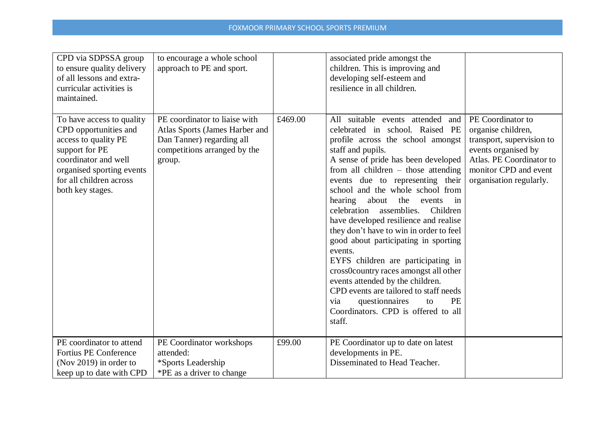| CPD via SDPSSA group<br>to ensure quality delivery<br>of all lessons and extra-<br>curricular activities is<br>maintained.                                                                       | to encourage a whole school<br>approach to PE and sport.                                                                               |         | associated pride amongst the<br>children. This is improving and<br>developing self-esteem and<br>resilience in all children.                                                                                                                                                                                                                                                                                                                                                                                                                                                                                                                                                                                                                                                   |                                                                                                                                                                             |
|--------------------------------------------------------------------------------------------------------------------------------------------------------------------------------------------------|----------------------------------------------------------------------------------------------------------------------------------------|---------|--------------------------------------------------------------------------------------------------------------------------------------------------------------------------------------------------------------------------------------------------------------------------------------------------------------------------------------------------------------------------------------------------------------------------------------------------------------------------------------------------------------------------------------------------------------------------------------------------------------------------------------------------------------------------------------------------------------------------------------------------------------------------------|-----------------------------------------------------------------------------------------------------------------------------------------------------------------------------|
| To have access to quality<br>CPD opportunities and<br>access to quality PE<br>support for PE<br>coordinator and well<br>organised sporting events<br>for all children across<br>both key stages. | PE coordinator to liaise with<br>Atlas Sports (James Harber and<br>Dan Tanner) regarding all<br>competitions arranged by the<br>group. | £469.00 | All suitable events attended<br>and<br>celebrated in school. Raised PE<br>profile across the school amongst<br>staff and pupils.<br>A sense of pride has been developed<br>from all children $-$ those attending<br>events due to representing their<br>school and the whole school from<br>hearing<br>about<br>the<br>events<br>in<br>assemblies.<br>Children<br>celebration<br>have developed resilience and realise<br>they don't have to win in order to feel<br>good about participating in sporting<br>events.<br>EYFS children are participating in<br>cross0country races amongst all other<br>events attended by the children.<br>CPD events are tailored to staff needs<br><b>PE</b><br>questionnaires<br>via<br>to<br>Coordinators. CPD is offered to all<br>staff. | PE Coordinator to<br>organise children,<br>transport, supervision to<br>events organised by<br>Atlas. PE Coordinator to<br>monitor CPD and event<br>organisation regularly. |
| PE coordinator to attend<br>Fortius PE Conference<br>(Nov 2019) in order to<br>keep up to date with CPD                                                                                          | PE Coordinator workshops<br>attended:<br>*Sports Leadership<br>*PE as a driver to change                                               | £99.00  | PE Coordinator up to date on latest<br>developments in PE.<br>Disseminated to Head Teacher.                                                                                                                                                                                                                                                                                                                                                                                                                                                                                                                                                                                                                                                                                    |                                                                                                                                                                             |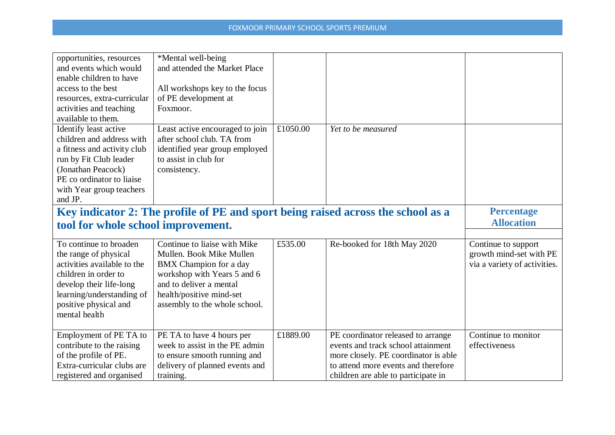| opportunities, resources           | *Mental well-being              |          |                                                                                  |                              |
|------------------------------------|---------------------------------|----------|----------------------------------------------------------------------------------|------------------------------|
| and events which would             | and attended the Market Place   |          |                                                                                  |                              |
| enable children to have            |                                 |          |                                                                                  |                              |
| access to the best                 | All workshops key to the focus  |          |                                                                                  |                              |
| resources, extra-curricular        | of PE development at            |          |                                                                                  |                              |
| activities and teaching            | Foxmoor.                        |          |                                                                                  |                              |
| available to them.                 |                                 |          |                                                                                  |                              |
| Identify least active              | Least active encouraged to join | £1050.00 | Yet to be measured                                                               |                              |
| children and address with          | after school club. TA from      |          |                                                                                  |                              |
| a fitness and activity club        | identified year group employed  |          |                                                                                  |                              |
| run by Fit Club leader             | to assist in club for           |          |                                                                                  |                              |
| (Jonathan Peacock)                 | consistency.                    |          |                                                                                  |                              |
| PE co ordinator to liaise          |                                 |          |                                                                                  |                              |
| with Year group teachers           |                                 |          |                                                                                  |                              |
| and JP.                            |                                 |          |                                                                                  |                              |
|                                    |                                 |          | Key indicator 2: The profile of PE and sport being raised across the school as a | <b>Percentage</b>            |
| tool for whole school improvement. |                                 |          |                                                                                  | <b>Allocation</b>            |
|                                    |                                 |          |                                                                                  |                              |
| To continue to broaden             | Continue to liaise with Mike    | £535.00  | Re-booked for 18th May 2020                                                      | Continue to support          |
| the range of physical              | Mullen. Book Mike Mullen        |          |                                                                                  | growth mind-set with PE      |
| activities available to the        | <b>BMX</b> Champion for a day   |          |                                                                                  | via a variety of activities. |
| children in order to               | workshop with Years 5 and 6     |          |                                                                                  |                              |
| develop their life-long            | and to deliver a mental         |          |                                                                                  |                              |
| learning/understanding of          | health/positive mind-set        |          |                                                                                  |                              |
| positive physical and              | assembly to the whole school.   |          |                                                                                  |                              |
| mental health                      |                                 |          |                                                                                  |                              |
|                                    |                                 |          |                                                                                  |                              |
| Employment of PE TA to             | PE TA to have 4 hours per       | £1889.00 | PE coordinator released to arrange                                               | Continue to monitor          |
| contribute to the raising          | week to assist in the PE admin  |          | events and track school attainment                                               | effectiveness                |
| of the profile of PE.              | to ensure smooth running and    |          | more closely. PE coordinator is able                                             |                              |
| Extra-curricular clubs are         |                                 |          |                                                                                  |                              |
|                                    | delivery of planned events and  |          | to attend more events and therefore                                              |                              |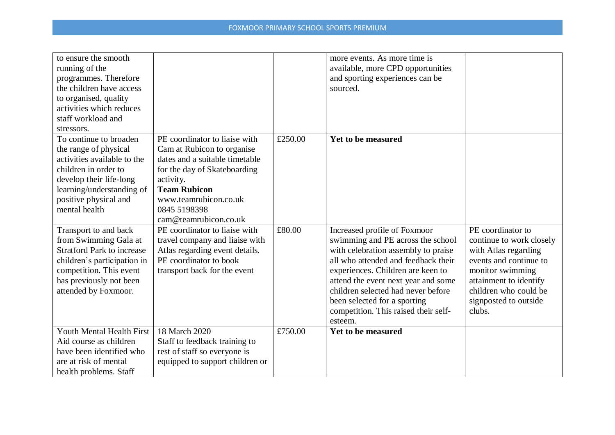| to ensure the smooth<br>running of the<br>programmes. Therefore<br>the children have access<br>to organised, quality<br>activities which reduces<br>staff workload and                                                 |                                                                                                                                                                                                                                     |         | more events. As more time is<br>available, more CPD opportunities<br>and sporting experiences can be<br>sourced.                                                                                                                                                                                                                                     |                                                                                                                                                                                                           |
|------------------------------------------------------------------------------------------------------------------------------------------------------------------------------------------------------------------------|-------------------------------------------------------------------------------------------------------------------------------------------------------------------------------------------------------------------------------------|---------|------------------------------------------------------------------------------------------------------------------------------------------------------------------------------------------------------------------------------------------------------------------------------------------------------------------------------------------------------|-----------------------------------------------------------------------------------------------------------------------------------------------------------------------------------------------------------|
| stressors.<br>To continue to broaden<br>the range of physical<br>activities available to the<br>children in order to<br>develop their life-long<br>learning/understanding of<br>positive physical and<br>mental health | PE coordinator to liaise with<br>Cam at Rubicon to organise<br>dates and a suitable timetable<br>for the day of Skateboarding<br>activity.<br><b>Team Rubicon</b><br>www.teamrubicon.co.uk<br>0845 5198398<br>cam@teamrubicon.co.uk | £250.00 | <b>Yet to be measured</b>                                                                                                                                                                                                                                                                                                                            |                                                                                                                                                                                                           |
| Transport to and back<br>from Swimming Gala at<br><b>Stratford Park to increase</b><br>children's participation in<br>competition. This event<br>has previously not been<br>attended by Foxmoor.                       | PE coordinator to liaise with<br>travel company and liaise with<br>Atlas regarding event details.<br>PE coordinator to book<br>transport back for the event                                                                         | £80.00  | Increased profile of Foxmoor<br>swimming and PE across the school<br>with celebration assembly to praise<br>all who attended and feedback their<br>experiences. Children are keen to<br>attend the event next year and some<br>children selected had never before<br>been selected for a sporting<br>competition. This raised their self-<br>esteem. | PE coordinator to<br>continue to work closely<br>with Atlas regarding<br>events and continue to<br>monitor swimming<br>attainment to identify<br>children who could be<br>signposted to outside<br>clubs. |
| Youth Mental Health First<br>Aid course as children<br>have been identified who<br>are at risk of mental<br>health problems. Staff                                                                                     | 18 March 2020<br>Staff to feedback training to<br>rest of staff so everyone is<br>equipped to support children or                                                                                                                   | £750.00 | <b>Yet to be measured</b>                                                                                                                                                                                                                                                                                                                            |                                                                                                                                                                                                           |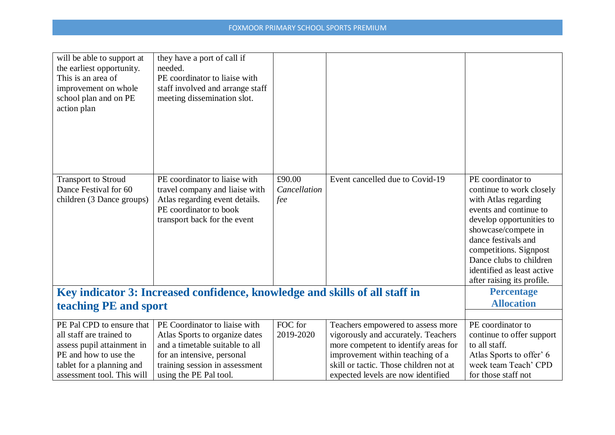| will be able to support at<br>the earliest opportunity.<br>This is an area of<br>improvement on whole<br>school plan and on PE<br>action plan | they have a port of call if<br>needed.<br>PE coordinator to liaise with<br>staff involved and arrange staff<br>meeting dissemination slot.                  |                               |                                                                                                                                                      |                                                                                                                                                                                                                                                                                            |
|-----------------------------------------------------------------------------------------------------------------------------------------------|-------------------------------------------------------------------------------------------------------------------------------------------------------------|-------------------------------|------------------------------------------------------------------------------------------------------------------------------------------------------|--------------------------------------------------------------------------------------------------------------------------------------------------------------------------------------------------------------------------------------------------------------------------------------------|
| <b>Transport to Stroud</b><br>Dance Festival for 60<br>children (3 Dance groups)                                                              | PE coordinator to liaise with<br>travel company and liaise with<br>Atlas regarding event details.<br>PE coordinator to book<br>transport back for the event | £90.00<br>Cancellation<br>fee | Event cancelled due to Covid-19                                                                                                                      | PE coordinator to<br>continue to work closely<br>with Atlas regarding<br>events and continue to<br>develop opportunities to<br>showcase/compete in<br>dance festivals and<br>competitions. Signpost<br>Dance clubs to children<br>identified as least active<br>after raising its profile. |
| teaching PE and sport                                                                                                                         | Key indicator 3: Increased confidence, knowledge and skills of all staff in                                                                                 |                               |                                                                                                                                                      | <b>Percentage</b><br><b>Allocation</b>                                                                                                                                                                                                                                                     |
|                                                                                                                                               |                                                                                                                                                             |                               |                                                                                                                                                      |                                                                                                                                                                                                                                                                                            |
| PE Pal CPD to ensure that<br>all staff are trained to<br>assess pupil attainment in<br>PE and how to use the                                  | PE Coordinator to liaise with<br>Atlas Sports to organize dates<br>and a timetable suitable to all<br>for an intensive, personal                            | FOC for<br>2019-2020          | Teachers empowered to assess more<br>vigorously and accurately. Teachers<br>more competent to identify areas for<br>improvement within teaching of a | PE coordinator to<br>continue to offer support<br>to all staff.<br>Atlas Sports to offer' 6                                                                                                                                                                                                |
| tablet for a planning and<br>assessment tool. This will                                                                                       | training session in assessment<br>using the PE Pal tool.                                                                                                    |                               | skill or tactic. Those children not at<br>expected levels are now identified                                                                         | week team Teach' CPD<br>for those staff not                                                                                                                                                                                                                                                |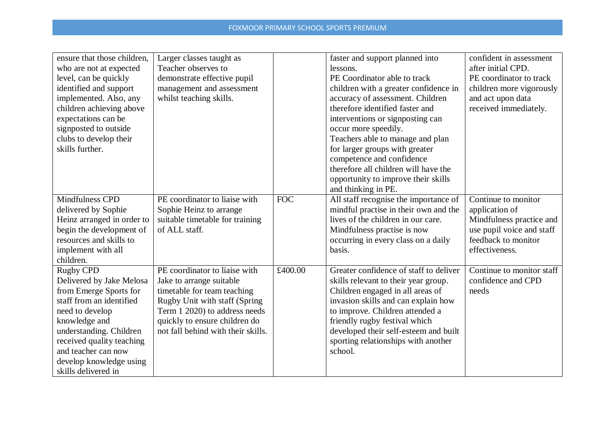| ensure that those children, | Larger classes taught as           |            | faster and support planned into        | confident in assessment   |
|-----------------------------|------------------------------------|------------|----------------------------------------|---------------------------|
| who are not at expected     | Teacher observes to                |            | lessons.                               | after initial CPD.        |
| level, can be quickly       | demonstrate effective pupil        |            | PE Coordinator able to track           | PE coordinator to track   |
| identified and support      | management and assessment          |            | children with a greater confidence in  | children more vigorously  |
| implemented. Also, any      | whilst teaching skills.            |            | accuracy of assessment. Children       | and act upon data         |
| children achieving above    |                                    |            | therefore identified faster and        | received immediately.     |
| expectations can be         |                                    |            | interventions or signposting can       |                           |
| signposted to outside       |                                    |            | occur more speedily.                   |                           |
| clubs to develop their      |                                    |            | Teachers able to manage and plan       |                           |
| skills further.             |                                    |            | for larger groups with greater         |                           |
|                             |                                    |            | competence and confidence              |                           |
|                             |                                    |            | therefore all children will have the   |                           |
|                             |                                    |            | opportunity to improve their skills    |                           |
|                             |                                    |            | and thinking in PE.                    |                           |
| <b>Mindfulness CPD</b>      | PE coordinator to liaise with      | <b>FOC</b> | All staff recognise the importance of  | Continue to monitor       |
| delivered by Sophie         | Sophie Heinz to arrange            |            | mindful practise in their own and the  | application of            |
| Heinz arranged in order to  | suitable timetable for training    |            | lives of the children in our care.     | Mindfulness practice and  |
| begin the development of    | of ALL staff.                      |            | Mindfulness practise is now            | use pupil voice and staff |
| resources and skills to     |                                    |            | occurring in every class on a daily    | feedback to monitor       |
| implement with all          |                                    |            | basis.                                 | effectiveness.            |
| children.                   |                                    |            |                                        |                           |
| <b>Rugby CPD</b>            | PE coordinator to liaise with      | £400.00    | Greater confidence of staff to deliver | Continue to monitor staff |
| Delivered by Jake Melosa    | Jake to arrange suitable           |            | skills relevant to their year group.   | confidence and CPD        |
| from Emerge Sports for      | timetable for team teaching        |            | Children engaged in all areas of       | needs                     |
| staff from an identified    | Rugby Unit with staff (Spring      |            | invasion skills and can explain how    |                           |
| need to develop             | Term 1 2020) to address needs      |            | to improve. Children attended a        |                           |
| knowledge and               | quickly to ensure children do      |            | friendly rugby festival which          |                           |
| understanding. Children     | not fall behind with their skills. |            | developed their self-esteem and built  |                           |
| received quality teaching   |                                    |            | sporting relationships with another    |                           |
| and teacher can now         |                                    |            | school.                                |                           |
| develop knowledge using     |                                    |            |                                        |                           |
| skills delivered in         |                                    |            |                                        |                           |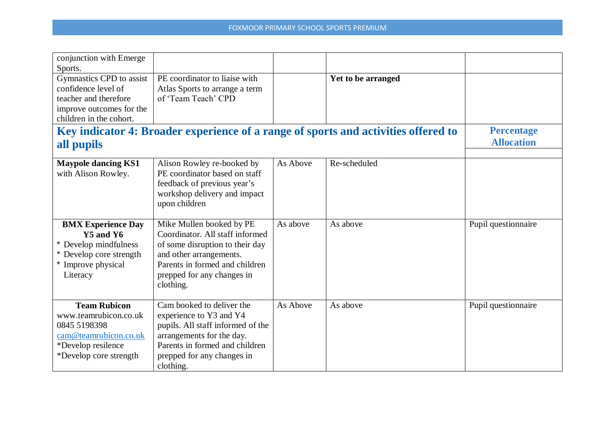| conjunction with Emerge                           |                                                             |          |                                                                                    |                     |
|---------------------------------------------------|-------------------------------------------------------------|----------|------------------------------------------------------------------------------------|---------------------|
| Sports.                                           |                                                             |          |                                                                                    |                     |
| Gymnastics CPD to assist                          | PE coordinator to liaise with                               |          | Yet to be arranged                                                                 |                     |
| confidence level of                               | Atlas Sports to arrange a term                              |          |                                                                                    |                     |
| teacher and therefore                             | of 'Team Teach' CPD                                         |          |                                                                                    |                     |
| improve outcomes for the                          |                                                             |          |                                                                                    |                     |
| children in the cohort.                           |                                                             |          |                                                                                    |                     |
|                                                   |                                                             |          | Key indicator 4: Broader experience of a range of sports and activities offered to | <b>Percentage</b>   |
| all pupils                                        |                                                             |          |                                                                                    | <b>Allocation</b>   |
|                                                   |                                                             |          |                                                                                    |                     |
| <b>Maypole dancing KS1</b><br>with Alison Rowley. | Alison Rowley re-booked by<br>PE coordinator based on staff | As Above | Re-scheduled                                                                       |                     |
|                                                   | feedback of previous year's                                 |          |                                                                                    |                     |
|                                                   | workshop delivery and impact                                |          |                                                                                    |                     |
|                                                   | upon children                                               |          |                                                                                    |                     |
|                                                   |                                                             |          |                                                                                    |                     |
| <b>BMX Experience Day</b>                         | Mike Mullen booked by PE                                    | As above | As above                                                                           | Pupil questionnaire |
| Y5 and Y6                                         | Coordinator. All staff informed                             |          |                                                                                    |                     |
| Develop mindfulness                               | of some disruption to their day                             |          |                                                                                    |                     |
| Develop core strength                             | and other arrangements.                                     |          |                                                                                    |                     |
| Improve physical                                  | Parents in formed and children                              |          |                                                                                    |                     |
| Literacy                                          | prepped for any changes in                                  |          |                                                                                    |                     |
|                                                   | clothing.                                                   |          |                                                                                    |                     |
|                                                   |                                                             |          |                                                                                    |                     |
| <b>Team Rubicon</b>                               | Cam booked to deliver the                                   | As Above | As above                                                                           | Pupil questionnaire |
| www.teamrubicon.co.uk                             | experience to Y3 and Y4                                     |          |                                                                                    |                     |
| 0845 5198398                                      | pupils. All staff informed of the                           |          |                                                                                    |                     |
| cam@teamrubicon.co.uk                             | arrangements for the day.                                   |          |                                                                                    |                     |
| *Develop resilence                                | Parents in formed and children                              |          |                                                                                    |                     |
| *Develop core strength                            | prepped for any changes in                                  |          |                                                                                    |                     |
|                                                   | clothing.                                                   |          |                                                                                    |                     |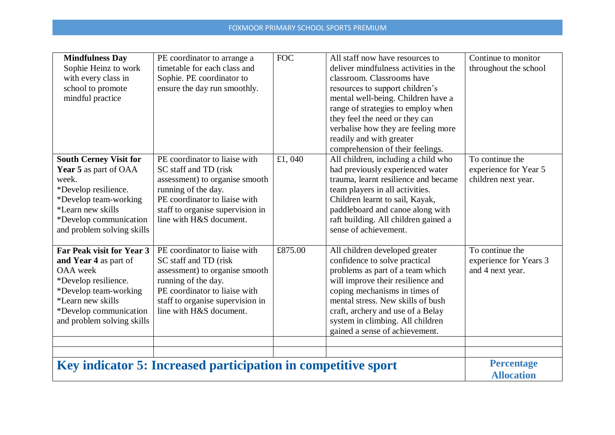| <b>Mindfulness Day</b><br>Sophie Heinz to work<br>with every class in<br>school to promote<br>mindful practice                                                                                             | PE coordinator to arrange a<br>timetable for each class and<br>Sophie. PE coordinator to<br>ensure the day run smoothly.                                                                                        | <b>FOC</b> | All staff now have resources to<br>deliver mindfulness activities in the<br>classroom. Classrooms have<br>resources to support children's<br>mental well-being. Children have a<br>range of strategies to employ when<br>they feel the need or they can<br>verbalise how they are feeling more                            | Continue to monitor<br>throughout the school                    |
|------------------------------------------------------------------------------------------------------------------------------------------------------------------------------------------------------------|-----------------------------------------------------------------------------------------------------------------------------------------------------------------------------------------------------------------|------------|---------------------------------------------------------------------------------------------------------------------------------------------------------------------------------------------------------------------------------------------------------------------------------------------------------------------------|-----------------------------------------------------------------|
|                                                                                                                                                                                                            |                                                                                                                                                                                                                 |            | readily and with greater<br>comprehension of their feelings.                                                                                                                                                                                                                                                              |                                                                 |
| <b>South Cerney Visit for</b><br>Year 5 as part of OAA<br>week.<br>*Develop resilience.<br>*Develop team-working<br><i>*Learn new skills</i><br>*Develop communication<br>and problem solving skills       | PE coordinator to liaise with<br>SC staff and TD (risk<br>assessment) to organise smooth<br>running of the day.<br>PE coordinator to liaise with<br>staff to organise supervision in<br>line with H&S document. | £1,040     | All children, including a child who<br>had previously experienced water<br>trauma, learnt resilience and became<br>team players in all activities.<br>Children learnt to sail, Kayak,<br>paddleboard and canoe along with<br>raft building. All children gained a<br>sense of achievement.                                | To continue the<br>experience for Year 5<br>children next year. |
| Far Peak visit for Year 3<br>and Year 4 as part of<br><b>OAA</b> week<br>*Develop resilience.<br>*Develop team-working<br><i>*Learn new skills</i><br>*Develop communication<br>and problem solving skills | PE coordinator to liaise with<br>SC staff and TD (risk<br>assessment) to organise smooth<br>running of the day.<br>PE coordinator to liaise with<br>staff to organise supervision in<br>line with H&S document. | £875.00    | All children developed greater<br>confidence to solve practical<br>problems as part of a team which<br>will improve their resilience and<br>coping mechanisms in times of<br>mental stress. New skills of bush<br>craft, archery and use of a Belay<br>system in climbing. All children<br>gained a sense of achievement. | To continue the<br>experience for Years 3<br>and 4 next year.   |
|                                                                                                                                                                                                            |                                                                                                                                                                                                                 |            |                                                                                                                                                                                                                                                                                                                           |                                                                 |
| Key indicator 5: Increased participation in competitive sport                                                                                                                                              |                                                                                                                                                                                                                 |            |                                                                                                                                                                                                                                                                                                                           | <b>Percentage</b><br><b>Allocation</b>                          |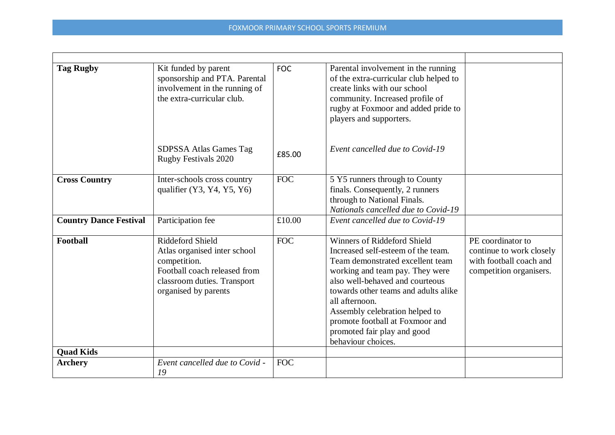| <b>Tag Rugby</b>              | Kit funded by parent<br>sponsorship and PTA. Parental<br>involvement in the running of<br>the extra-curricular club.                                    | <b>FOC</b> | Parental involvement in the running<br>of the extra-curricular club helped to<br>create links with our school<br>community. Increased profile of<br>rugby at Foxmoor and added pride to<br>players and supporters.                                                                                                                                                     |                                                                                                     |
|-------------------------------|---------------------------------------------------------------------------------------------------------------------------------------------------------|------------|------------------------------------------------------------------------------------------------------------------------------------------------------------------------------------------------------------------------------------------------------------------------------------------------------------------------------------------------------------------------|-----------------------------------------------------------------------------------------------------|
|                               | SDPSSA Atlas Games Tag<br><b>Rugby Festivals 2020</b>                                                                                                   | £85.00     | Event cancelled due to Covid-19                                                                                                                                                                                                                                                                                                                                        |                                                                                                     |
| <b>Cross Country</b>          | Inter-schools cross country<br>qualifier $(Y3, Y4, Y5, Y6)$                                                                                             | <b>FOC</b> | 5 Y5 runners through to County<br>finals. Consequently, 2 runners<br>through to National Finals.<br>Nationals cancelled due to Covid-19                                                                                                                                                                                                                                |                                                                                                     |
| <b>Country Dance Festival</b> | Participation fee                                                                                                                                       | £10.00     | Event cancelled due to Covid-19                                                                                                                                                                                                                                                                                                                                        |                                                                                                     |
| Football                      | Riddeford Shield<br>Atlas organised inter school<br>competition.<br>Football coach released from<br>classroom duties. Transport<br>organised by parents | <b>FOC</b> | <b>Winners of Riddeford Shield</b><br>Increased self-esteem of the team.<br>Team demonstrated excellent team<br>working and team pay. They were<br>also well-behaved and courteous<br>towards other teams and adults alike<br>all afternoon.<br>Assembly celebration helped to<br>promote football at Foxmoor and<br>promoted fair play and good<br>behaviour choices. | PE coordinator to<br>continue to work closely<br>with football coach and<br>competition organisers. |
| <b>Quad Kids</b>              |                                                                                                                                                         |            |                                                                                                                                                                                                                                                                                                                                                                        |                                                                                                     |
| <b>Archery</b>                | Event cancelled due to Covid -<br>19                                                                                                                    | <b>FOC</b> |                                                                                                                                                                                                                                                                                                                                                                        |                                                                                                     |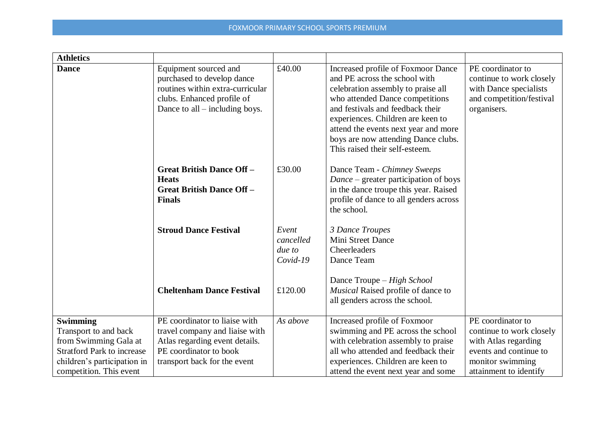| <b>Athletics</b>                                                                                                                                                 |                                                                                                                                                             |                                            |                                                                                                                                                                                                                                                                                                                                        |                                                                                                                                               |
|------------------------------------------------------------------------------------------------------------------------------------------------------------------|-------------------------------------------------------------------------------------------------------------------------------------------------------------|--------------------------------------------|----------------------------------------------------------------------------------------------------------------------------------------------------------------------------------------------------------------------------------------------------------------------------------------------------------------------------------------|-----------------------------------------------------------------------------------------------------------------------------------------------|
| <b>Dance</b>                                                                                                                                                     | Equipment sourced and<br>purchased to develop dance<br>routines within extra-curricular<br>clubs. Enhanced profile of<br>Dance to all $-$ including boys.   | £40.00                                     | Increased profile of Foxmoor Dance<br>and PE across the school with<br>celebration assembly to praise all<br>who attended Dance competitions<br>and festivals and feedback their<br>experiences. Children are keen to<br>attend the events next year and more<br>boys are now attending Dance clubs.<br>This raised their self-esteem. | PE coordinator to<br>continue to work closely<br>with Dance specialists<br>and competition/festival<br>organisers.                            |
|                                                                                                                                                                  | <b>Great British Dance Off-</b><br><b>Heats</b><br><b>Great British Dance Off -</b><br><b>Finals</b>                                                        | £30.00                                     | Dance Team - Chimney Sweeps<br>$Dance$ – greater participation of boys<br>in the dance troupe this year. Raised<br>profile of dance to all genders across<br>the school.                                                                                                                                                               |                                                                                                                                               |
|                                                                                                                                                                  | <b>Stroud Dance Festival</b>                                                                                                                                | Event<br>cancelled<br>due to<br>$Covid-19$ | 3 Dance Troupes<br>Mini Street Dance<br>Cheerleaders<br>Dance Team                                                                                                                                                                                                                                                                     |                                                                                                                                               |
|                                                                                                                                                                  | <b>Cheltenham Dance Festival</b>                                                                                                                            | £120.00                                    | Dance Troupe – High School<br>Musical Raised profile of dance to<br>all genders across the school.                                                                                                                                                                                                                                     |                                                                                                                                               |
| <b>Swimming</b><br>Transport to and back<br>from Swimming Gala at<br><b>Stratford Park to increase</b><br>children's participation in<br>competition. This event | PE coordinator to liaise with<br>travel company and liaise with<br>Atlas regarding event details.<br>PE coordinator to book<br>transport back for the event | As above                                   | Increased profile of Foxmoor<br>swimming and PE across the school<br>with celebration assembly to praise<br>all who attended and feedback their<br>experiences. Children are keen to<br>attend the event next year and some                                                                                                            | PE coordinator to<br>continue to work closely<br>with Atlas regarding<br>events and continue to<br>monitor swimming<br>attainment to identify |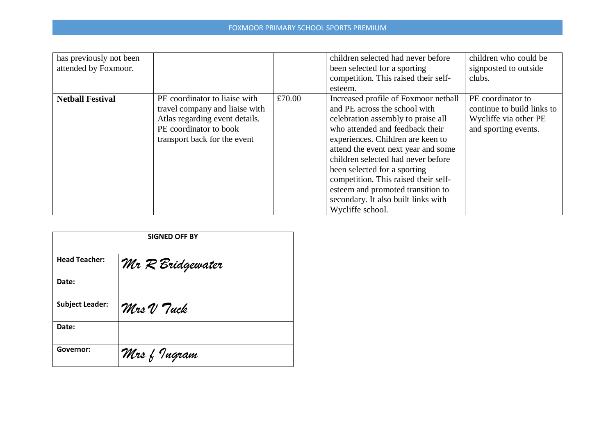| has previously not been |                                |        | children selected had never before   | children who could be      |
|-------------------------|--------------------------------|--------|--------------------------------------|----------------------------|
| attended by Foxmoor.    |                                |        | been selected for a sporting         | signposted to outside      |
|                         |                                |        | competition. This raised their self- | clubs.                     |
|                         |                                |        | esteem.                              |                            |
| <b>Netball Festival</b> | PE coordinator to liaise with  | £70.00 | Increased profile of Foxmoor netball | PE coordinator to          |
|                         | travel company and liaise with |        | and PE across the school with        | continue to build links to |
|                         | Atlas regarding event details. |        | celebration assembly to praise all   | Wycliffe via other PE      |
|                         | PE coordinator to book         |        | who attended and feedback their      | and sporting events.       |
|                         | transport back for the event   |        | experiences. Children are keen to    |                            |
|                         |                                |        | attend the event next year and some  |                            |
|                         |                                |        | children selected had never before   |                            |
|                         |                                |        | been selected for a sporting         |                            |
|                         |                                |        | competition. This raised their self- |                            |
|                         |                                |        | esteem and promoted transition to    |                            |
|                         |                                |        | secondary. It also built links with  |                            |
|                         |                                |        | Wycliffe school.                     |                            |

| <b>SIGNED OFF BY</b>   |                  |  |
|------------------------|------------------|--|
| <b>Head Teacher:</b>   | Mr R Bridgewater |  |
| Date:                  |                  |  |
| <b>Subject Leader:</b> | Mrs V Tuck       |  |
| Date:                  |                  |  |
| Governor:              | Mrs f Ingram     |  |